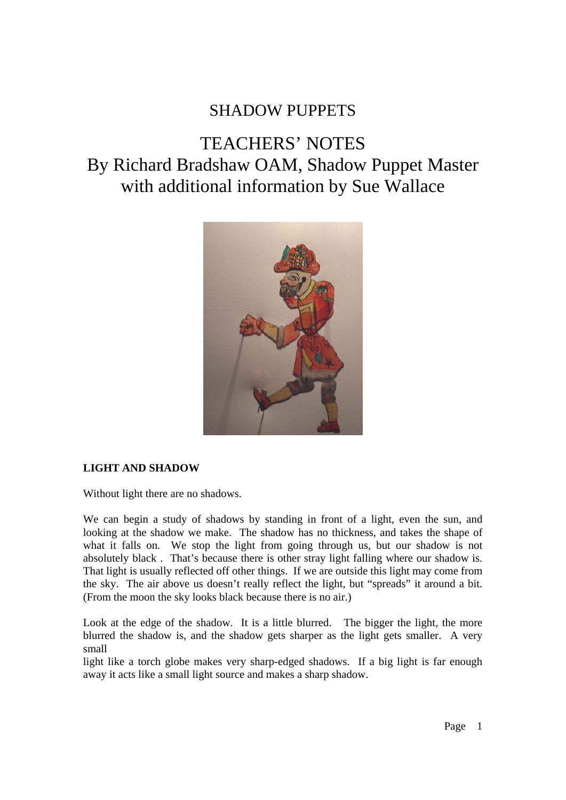## SHADOW PUPPETS

# TEACHERS' NOTES By Richard Bradshaw OAM, Shadow Puppet Master with additional information by Sue Wallace



## **LIGHT AND SHADOW**

Without light there are no shadows.

We can begin a study of shadows by standing in front of a light, even the sun, and looking at the shadow we make. The shadow has no thickness, and takes the shape of what it falls on. We stop the light from going through us, but our shadow is not absolutely black . That's because there is other stray light falling where our shadow is. That light is usually reflected off other things. If we are outside this light may come from the sky. The air above us doesn't really reflect the light, but "spreads" it around a bit. (From the moon the sky looks black because there is no air.)

Look at the edge of the shadow. It is a little blurred. The bigger the light, the more blurred the shadow is, and the shadow gets sharper as the light gets smaller. A very small

light like a torch globe makes very sharp-edged shadows. If a big light is far enough away it acts like a small light source and makes a sharp shadow.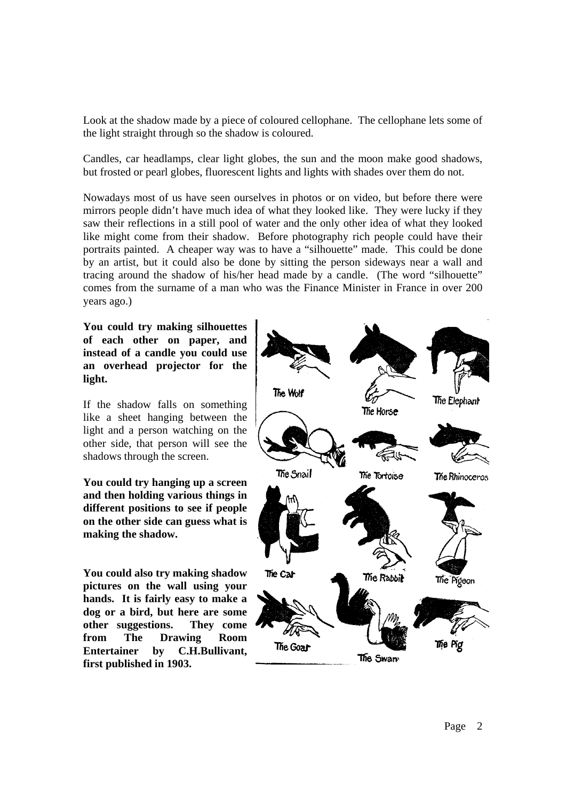Look at the shadow made by a piece of coloured cellophane. The cellophane lets some of the light straight through so the shadow is coloured.

Candles, car headlamps, clear light globes, the sun and the moon make good shadows, but frosted or pearl globes, fluorescent lights and lights with shades over them do not.

Nowadays most of us have seen ourselves in photos or on video, but before there were mirrors people didn't have much idea of what they looked like. They were lucky if they saw their reflections in a still pool of water and the only other idea of what they looked like might come from their shadow. Before photography rich people could have their portraits painted. A cheaper way was to have a "silhouette" made. This could be done by an artist, but it could also be done by sitting the person sideways near a wall and tracing around the shadow of his/her head made by a candle. (The word "silhouette" comes from the surname of a man who was the Finance Minister in France in over 200 years ago.)

**You could try making silhouettes of each other on paper, and instead of a candle you could use an overhead projector for the light.** 

If the shadow falls on something like a sheet hanging between the light and a person watching on the other side, that person will see the shadows through the screen.

**You could try hanging up a screen and then holding various things in different positions to see if people on the other side can guess what is making the shadow.**

**You could also try making shadow pictures on the wall using your hands. It is fairly easy to make a dog or a bird, but here are some other suggestions. They come from The Drawing Room Entertainer by C.H.Bullivant, first published in 1903.**

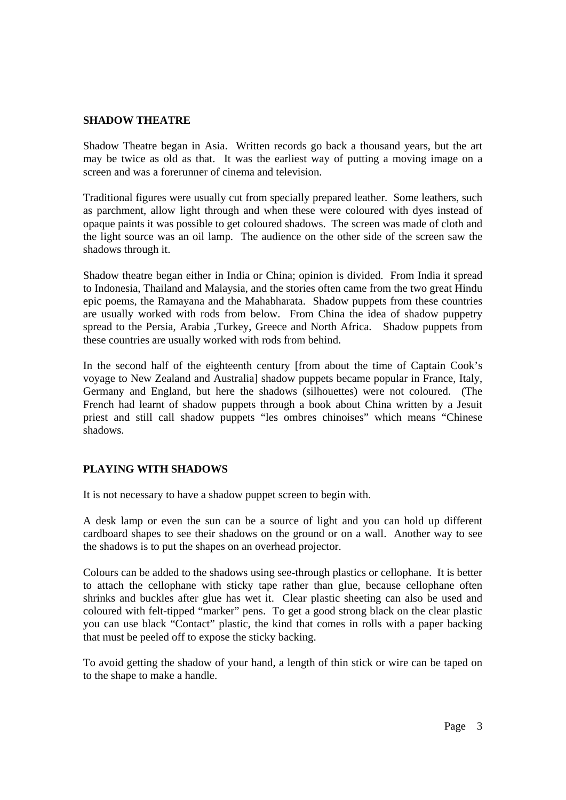#### **SHADOW THEATRE**

Shadow Theatre began in Asia. Written records go back a thousand years, but the art may be twice as old as that. It was the earliest way of putting a moving image on a screen and was a forerunner of cinema and television.

Traditional figures were usually cut from specially prepared leather. Some leathers, such as parchment, allow light through and when these were coloured with dyes instead of opaque paints it was possible to get coloured shadows. The screen was made of cloth and the light source was an oil lamp. The audience on the other side of the screen saw the shadows through it.

Shadow theatre began either in India or China; opinion is divided. From India it spread to Indonesia, Thailand and Malaysia, and the stories often came from the two great Hindu epic poems, the Ramayana and the Mahabharata. Shadow puppets from these countries are usually worked with rods from below. From China the idea of shadow puppetry spread to the Persia, Arabia ,Turkey, Greece and North Africa. Shadow puppets from these countries are usually worked with rods from behind.

In the second half of the eighteenth century [from about the time of Captain Cook's voyage to New Zealand and Australia] shadow puppets became popular in France, Italy, Germany and England, but here the shadows (silhouettes) were not coloured. (The French had learnt of shadow puppets through a book about China written by a Jesuit priest and still call shadow puppets "les ombres chinoises" which means "Chinese shadows.

## **PLAYING WITH SHADOWS**

It is not necessary to have a shadow puppet screen to begin with.

A desk lamp or even the sun can be a source of light and you can hold up different cardboard shapes to see their shadows on the ground or on a wall. Another way to see the shadows is to put the shapes on an overhead projector.

Colours can be added to the shadows using see-through plastics or cellophane. It is better to attach the cellophane with sticky tape rather than glue, because cellophane often shrinks and buckles after glue has wet it. Clear plastic sheeting can also be used and coloured with felt-tipped "marker" pens. To get a good strong black on the clear plastic you can use black "Contact" plastic, the kind that comes in rolls with a paper backing that must be peeled off to expose the sticky backing.

To avoid getting the shadow of your hand, a length of thin stick or wire can be taped on to the shape to make a handle.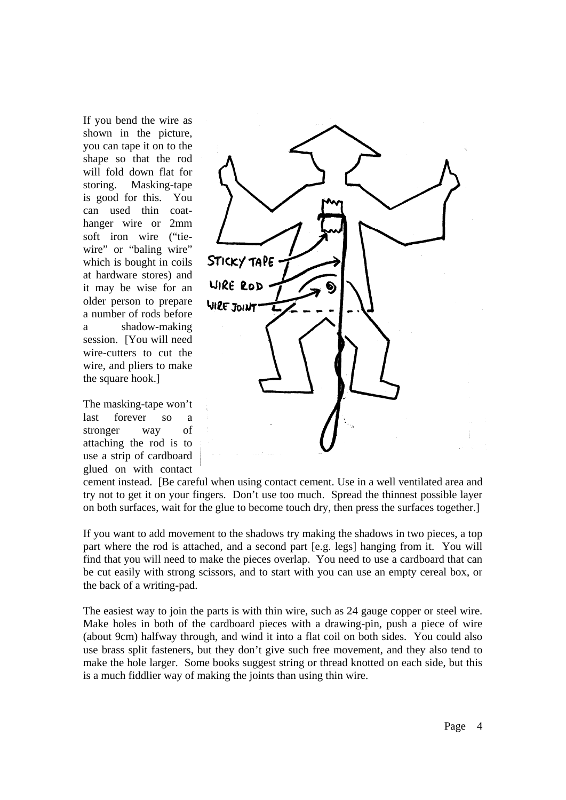If you bend the wire as shown in the picture, you can tape it on to the shape so that the rod will fold down flat for storing. Masking-tape is good for this. You can used thin coathanger wire or 2mm soft iron wire ("tiewire" or "baling wire" which is bought in coils at hardware stores) and it may be wise for an older person to prepare a number of rods before a shadow-making session. [You will need wire-cutters to cut the wire, and pliers to make the square hook.]

The masking-tape won't last forever so a stronger way of attaching the rod is to use a strip of cardboard glued on with contact



cement instead. [Be careful when using contact cement. Use in a well ventilated area and try not to get it on your fingers. Don't use too much. Spread the thinnest possible layer on both surfaces, wait for the glue to become touch dry, then press the surfaces together.]

If you want to add movement to the shadows try making the shadows in two pieces, a top part where the rod is attached, and a second part [e.g. legs] hanging from it. You will find that you will need to make the pieces overlap. You need to use a cardboard that can be cut easily with strong scissors, and to start with you can use an empty cereal box, or the back of a writing-pad.

The easiest way to join the parts is with thin wire, such as 24 gauge copper or steel wire. Make holes in both of the cardboard pieces with a drawing-pin, push a piece of wire (about 9cm) halfway through, and wind it into a flat coil on both sides. You could also use brass split fasteners, but they don't give such free movement, and they also tend to make the hole larger. Some books suggest string or thread knotted on each side, but this is a much fiddlier way of making the joints than using thin wire.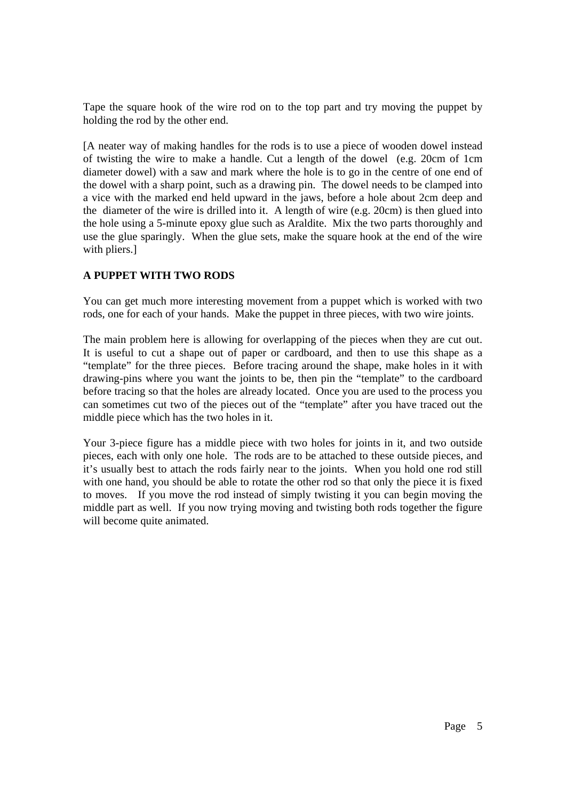Tape the square hook of the wire rod on to the top part and try moving the puppet by holding the rod by the other end.

[A neater way of making handles for the rods is to use a piece of wooden dowel instead of twisting the wire to make a handle. Cut a length of the dowel (e.g. 20cm of 1cm diameter dowel) with a saw and mark where the hole is to go in the centre of one end of the dowel with a sharp point, such as a drawing pin. The dowel needs to be clamped into a vice with the marked end held upward in the jaws, before a hole about 2cm deep and the diameter of the wire is drilled into it. A length of wire (e.g. 20cm) is then glued into the hole using a 5-minute epoxy glue such as Araldite. Mix the two parts thoroughly and use the glue sparingly. When the glue sets, make the square hook at the end of the wire with pliers.]

## **A PUPPET WITH TWO RODS**

You can get much more interesting movement from a puppet which is worked with two rods, one for each of your hands. Make the puppet in three pieces, with two wire joints.

The main problem here is allowing for overlapping of the pieces when they are cut out. It is useful to cut a shape out of paper or cardboard, and then to use this shape as a "template" for the three pieces. Before tracing around the shape, make holes in it with drawing-pins where you want the joints to be, then pin the "template" to the cardboard before tracing so that the holes are already located. Once you are used to the process you can sometimes cut two of the pieces out of the "template" after you have traced out the middle piece which has the two holes in it.

Your 3-piece figure has a middle piece with two holes for joints in it, and two outside pieces, each with only one hole. The rods are to be attached to these outside pieces, and it's usually best to attach the rods fairly near to the joints. When you hold one rod still with one hand, you should be able to rotate the other rod so that only the piece it is fixed to moves. If you move the rod instead of simply twisting it you can begin moving the middle part as well. If you now trying moving and twisting both rods together the figure will become quite animated.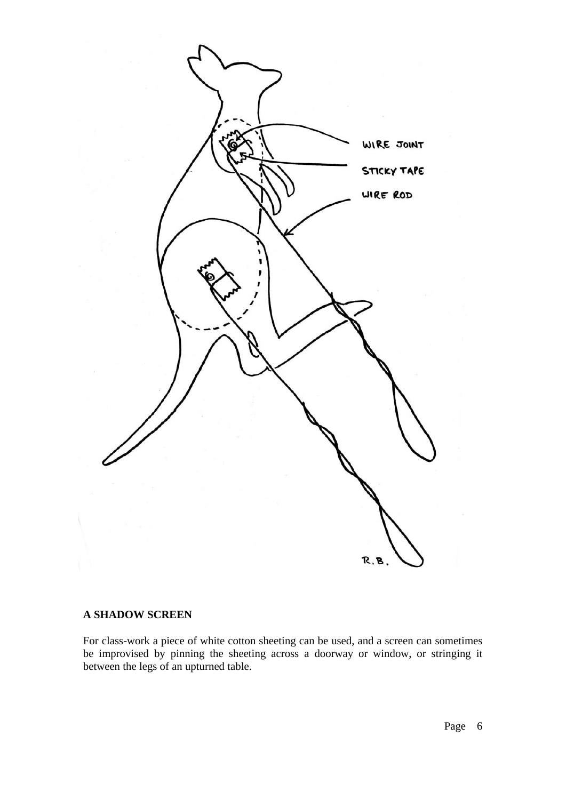

#### **A SHADOW SCREEN**

For class-work a piece of white cotton sheeting can be used, and a screen can sometimes be improvised by pinning the sheeting across a doorway or window, or stringing it between the legs of an upturned table.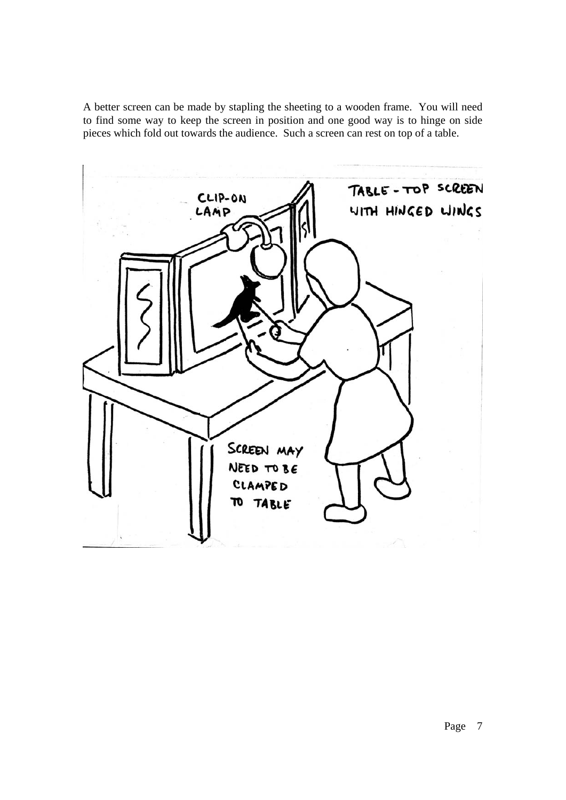A better screen can be made by stapling the sheeting to a wooden frame. You will need to find some way to keep the screen in position and one good way is to hinge on side pieces which fold out towards the audience. Such a screen can rest on top of a table.

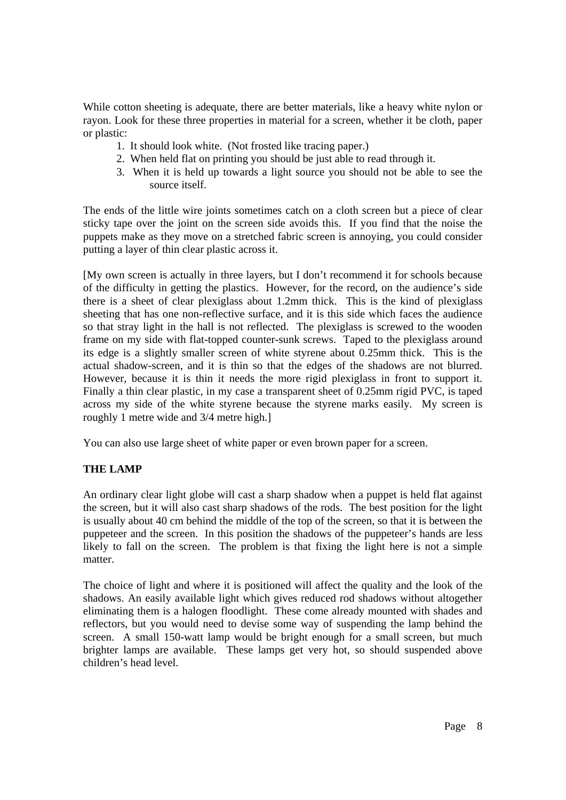While cotton sheeting is adequate, there are better materials, like a heavy white nylon or rayon. Look for these three properties in material for a screen, whether it be cloth, paper or plastic:

- 1. It should look white. (Not frosted like tracing paper.)
- 2. When held flat on printing you should be just able to read through it.
- 3. When it is held up towards a light source you should not be able to see the source itself.

The ends of the little wire joints sometimes catch on a cloth screen but a piece of clear sticky tape over the joint on the screen side avoids this. If you find that the noise the puppets make as they move on a stretched fabric screen is annoying, you could consider putting a layer of thin clear plastic across it.

[My own screen is actually in three layers, but I don't recommend it for schools because of the difficulty in getting the plastics. However, for the record, on the audience's side there is a sheet of clear plexiglass about 1.2mm thick. This is the kind of plexiglass sheeting that has one non-reflective surface, and it is this side which faces the audience so that stray light in the hall is not reflected. The plexiglass is screwed to the wooden frame on my side with flat-topped counter-sunk screws. Taped to the plexiglass around its edge is a slightly smaller screen of white styrene about 0.25mm thick. This is the actual shadow-screen, and it is thin so that the edges of the shadows are not blurred. However, because it is thin it needs the more rigid plexiglass in front to support it. Finally a thin clear plastic, in my case a transparent sheet of 0.25mm rigid PVC, is taped across my side of the white styrene because the styrene marks easily. My screen is roughly 1 metre wide and 3/4 metre high.]

You can also use large sheet of white paper or even brown paper for a screen.

## **THE LAMP**

An ordinary clear light globe will cast a sharp shadow when a puppet is held flat against the screen, but it will also cast sharp shadows of the rods. The best position for the light is usually about 40 cm behind the middle of the top of the screen, so that it is between the puppeteer and the screen. In this position the shadows of the puppeteer's hands are less likely to fall on the screen. The problem is that fixing the light here is not a simple matter.

The choice of light and where it is positioned will affect the quality and the look of the shadows. An easily available light which gives reduced rod shadows without altogether eliminating them is a halogen floodlight. These come already mounted with shades and reflectors, but you would need to devise some way of suspending the lamp behind the screen. A small 150-watt lamp would be bright enough for a small screen, but much brighter lamps are available. These lamps get very hot, so should suspended above children's head level.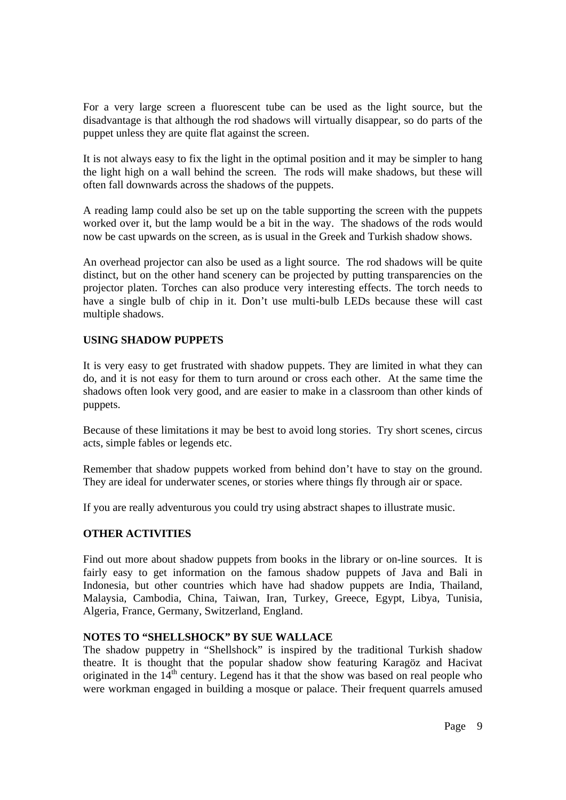For a very large screen a fluorescent tube can be used as the light source, but the disadvantage is that although the rod shadows will virtually disappear, so do parts of the puppet unless they are quite flat against the screen.

It is not always easy to fix the light in the optimal position and it may be simpler to hang the light high on a wall behind the screen. The rods will make shadows, but these will often fall downwards across the shadows of the puppets.

A reading lamp could also be set up on the table supporting the screen with the puppets worked over it, but the lamp would be a bit in the way. The shadows of the rods would now be cast upwards on the screen, as is usual in the Greek and Turkish shadow shows.

An overhead projector can also be used as a light source. The rod shadows will be quite distinct, but on the other hand scenery can be projected by putting transparencies on the projector platen. Torches can also produce very interesting effects. The torch needs to have a single bulb of chip in it. Don't use multi-bulb LEDs because these will cast multiple shadows.

## **USING SHADOW PUPPETS**

It is very easy to get frustrated with shadow puppets. They are limited in what they can do, and it is not easy for them to turn around or cross each other. At the same time the shadows often look very good, and are easier to make in a classroom than other kinds of puppets.

Because of these limitations it may be best to avoid long stories. Try short scenes, circus acts, simple fables or legends etc.

Remember that shadow puppets worked from behind don't have to stay on the ground. They are ideal for underwater scenes, or stories where things fly through air or space.

If you are really adventurous you could try using abstract shapes to illustrate music.

#### **OTHER ACTIVITIES**

Find out more about shadow puppets from books in the library or on-line sources. It is fairly easy to get information on the famous shadow puppets of Java and Bali in Indonesia, but other countries which have had shadow puppets are India, Thailand, Malaysia, Cambodia, China, Taiwan, Iran, Turkey, Greece, Egypt, Libya, Tunisia, Algeria, France, Germany, Switzerland, England.

#### **NOTES TO "SHELLSHOCK" BY SUE WALLACE**

The shadow puppetry in "Shellshock" is inspired by the traditional Turkish shadow theatre. It is thought that the popular shadow show featuring Karagöz and Hacivat originated in the  $14<sup>th</sup>$  century. Legend has it that the show was based on real people who were workman engaged in building a mosque or palace. Their frequent quarrels amused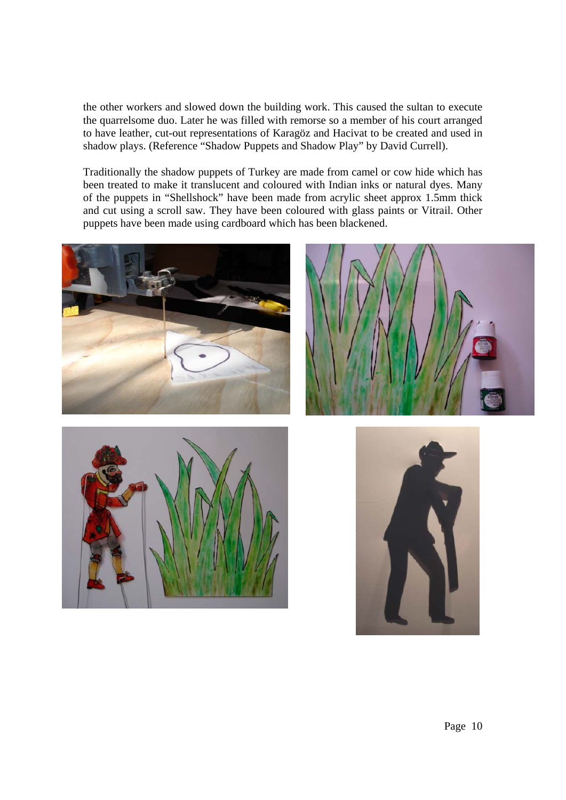the other workers and slowed down the building work. This caused the sultan to execute the quarrelsome duo. Later he was filled with remorse so a member of his court arranged to have leather, cut-out representations of Karagöz and Hacivat to be created and used in shadow plays. (Reference "Shadow Puppets and Shadow Play" by David Currell).

Traditionally the shadow puppets of Turkey are made from camel or cow hide which has been treated to make it translucent and coloured with Indian inks or natural dyes. Many of the puppets in "Shellshock" have been made from acrylic sheet approx 1.5mm thick and cut using a scroll saw. They have been coloured with glass paints or Vitrail. Other puppets have been made using cardboard which has been blackened.